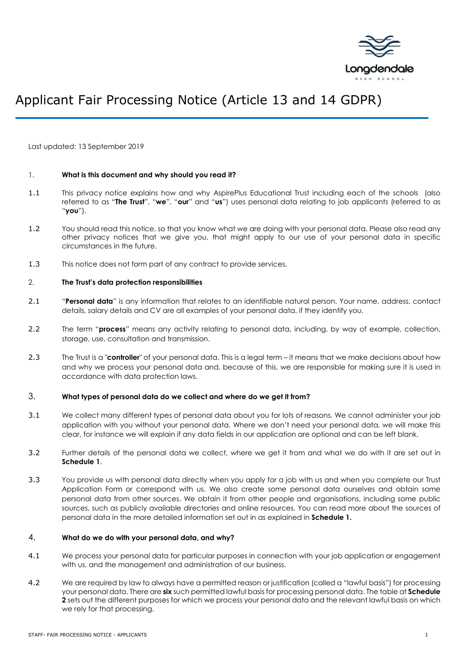

# Applicant Fair Processing Notice (Article 13 and 14 GDPR)

Last updated: 13 September 2019

#### 1. **What is this document and why should you read it?**

- 1.1 This privacy notice explains how and why AspirePlus Educational Trust including each of the schools (also referred to as "**The Trust**", "**we**", "**our**" and "**us**") uses personal data relating to job applicants (referred to as "**you**").
- 1.2 You should read this notice, so that you know what we are doing with your personal data. Please also read any other privacy notices that we give you, that might apply to our use of your personal data in specific circumstances in the future.
- 1.3 This notice does not form part of any contract to provide services.

#### 2. **The Trust's data protection responsibilities**

- 2.1 "**Personal data**" is any information that relates to an identifiable natural person. Your name, address, contact details, salary details and CV are all examples of your personal data, if they identify you.
- 2.2 The term "**process**" means any activity relating to personal data, including, by way of example, collection, storage, use, consultation and transmission.
- 2.3 The Trust is a "**controller**" of your personal data. This is a legal term it means that we make decisions about how and why we process your personal data and, because of this, we are responsible for making sure it is used in accordance with data protection laws.

#### 3. **What types of personal data do we collect and where do we get it from?**

- 3.1 We collect many different types of personal data about you for lots of reasons. We cannot administer your job application with you without your personal data. Where we don't need your personal data, we will make this clear, for instance we will explain if any data fields in our application are optional and can be left blank.
- 3.2 Further details of the personal data we collect, where we get it from and what we do with it are set out in **Schedule 1**.
- 3.3 You provide us with personal data directly when you apply for a job with us and when you complete our Trust Application Form or correspond with us. We also create some personal data ourselves and obtain some personal data from other sources. We obtain it from other people and organisations, including some public sources, such as publicly available directories and online resources. You can read more about the sources of personal data in the more detailed information set out in as explained in **Schedule 1.**

#### 4. **What do we do with your personal data, and why?**

- 4.1 We process your personal data for particular purposes in connection with your job application or engagement with us, and the management and administration of our business.
- 4.2 We are required by law to always have a permitted reason or justification (called a "lawful basis") for processing your personal data. There are **six** such permitted lawful basis for processing personal data. The table at **Schedule 2** sets out the different purposes for which we process your personal data and the relevant lawful basis on which we rely for that processing.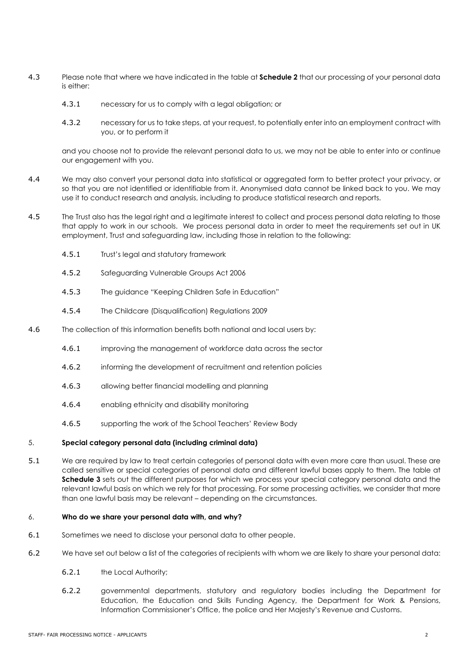- 4.3 Please note that where we have indicated in the table at **Schedule 2** that our processing of your personal data is either:
	- 4.3.1 necessary for us to comply with a legal obligation; or
	- 4.3.2 necessary for us to take steps, at your request, to potentially enter into an employment contract with you, or to perform it

and you choose not to provide the relevant personal data to us, we may not be able to enter into or continue our engagement with you.

- 4.4 We may also convert your personal data into statistical or aggregated form to better protect your privacy, or so that you are not identified or identifiable from it. Anonymised data cannot be linked back to you. We may use it to conduct research and analysis, including to produce statistical research and reports.
- 4.5 The Trust also has the legal right and a legitimate interest to collect and process personal data relating to those that apply to work in our schools. We process personal data in order to meet the requirements set out in UK employment, Trust and safeguarding law, including those in relation to the following:
	- 4.5.1 Trust's legal and statutory framework
	- 4.5.2 Safeguarding Vulnerable Groups Act 2006
	- 4.5.3 The guidance "Keeping Children Safe in Education"
	- 4.5.4 The Childcare (Disqualification) Regulations 2009
- 4.6 The collection of this information benefits both national and local users by:
	- 4.6.1 improving the management of workforce data across the sector
	- 4.6.2 informing the development of recruitment and retention policies
	- 4.6.3 allowing better financial modelling and planning
	- 4.6.4 enabling ethnicity and disability monitoring
	- 4.6.5 supporting the work of the School Teachers' Review Body

#### 5. **Special category personal data (including criminal data)**

5.1 We are required by law to treat certain categories of personal data with even more care than usual. These are called sensitive or special categories of personal data and different lawful bases apply to them. The table at **Schedule 3** sets out the different purposes for which we process your special category personal data and the relevant lawful basis on which we rely for that processing. For some processing activities, we consider that more than one lawful basis may be relevant – depending on the circumstances.

#### 6. **Who do we share your personal data with, and why?**

- 6.1 Sometimes we need to disclose your personal data to other people.
- 6.2 We have set out below a list of the categories of recipients with whom we are likely to share your personal data:
	- 6.2.1 the Local Authority;
	- 6.2.2 governmental departments, statutory and regulatory bodies including the Department for Education, the Education and Skills Funding Agency, the Department for Work & Pensions, Information Commissioner's Office, the police and Her Majesty's Revenue and Customs.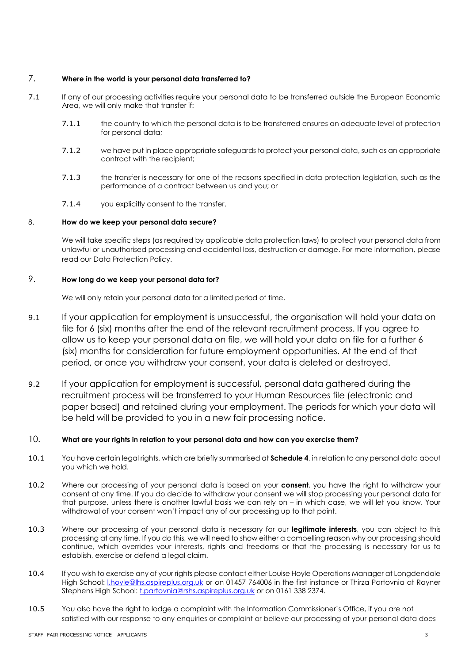## 7. **Where in the world is your personal data transferred to?**

- 7.1 If any of our processing activities require your personal data to be transferred outside the European Economic Area, we will only make that transfer if:
	- 7.1.1 the country to which the personal data is to be transferred ensures an adequate level of protection for personal data;
	- 7.1.2 we have put in place appropriate safeguards to protect your personal data, such as an appropriate contract with the recipient;
	- 7.1.3 the transfer is necessary for one of the reasons specified in data protection legislation, such as the performance of a contract between us and you; or
	- 7.1.4 you explicitly consent to the transfer.

## 8. **How do we keep your personal data secure?**

We will take specific steps (as required by applicable data protection laws) to protect your personal data from unlawful or unauthorised processing and accidental loss, destruction or damage. For more information, please read our Data Protection Policy.

## <span id="page-2-0"></span>9. **How long do we keep your personal data for?**

We will only retain your personal data for a limited period of time.

- 9.1 If your application for employment is unsuccessful, the organisation will hold your data on file for 6 (six) months after the end of the relevant recruitment process. If you agree to allow us to keep your personal data on file, we will hold your data on file for a further 6 (six) months for consideration for future employment opportunities. At the end of that period, or once you withdraw your consent, your data is deleted or destroyed.
- 9.2 If your application for employment is successful, personal data gathered during the recruitment process will be transferred to your Human Resources file (electronic and paper based) and retained during your employment. The periods for which your data will be held will be provided to you in a new fair processing notice.

# 10. **What are your rights in relation to your personal data and how can you exercise them?**

- 10.1 You have certain legal rights, which are briefly summarised at **Schedule 4**, in relation to any personal data about you which we hold.
- 10.2 Where our processing of your personal data is based on your **consent**, you have the right to withdraw your consent at any time. If you do decide to withdraw your consent we will stop processing your personal data for that purpose, unless there is another lawful basis we can rely on – in which case, we will let you know. Your withdrawal of your consent won't impact any of our processing up to that point.
- 10.3 Where our processing of your personal data is necessary for our **legitimate interests**, you can object to this processing at any time. If you do this, we will need to show either a compelling reason why our processing should continue, which overrides your interests, rights and freedoms or that the processing is necessary for us to establish, exercise or defend a legal claim.
- 10.4 If you wish to exercise any of your rights please contact either Louise Hoyle Operations Manager at Longdendale High School: *Lhoyle@lhs.aspireplus.org.uk* or on 01457 764006 in the first instance or Thirza Partovnia at Rayner Stephens High School: [t.partovnia@rshs.aspireplus.org.uk](mailto:t.partovnia@rshs.aspireplus.org.uk) or on 0161 338 2374.
- 10.5 You also have the right to lodge a complaint with the Information Commissioner's Office, if you are not satisfied with our response to any enquiries or complaint or believe our processing of your personal data does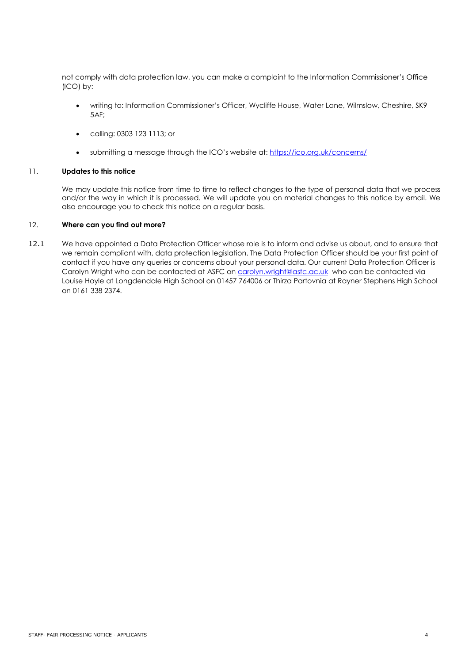not comply with data protection law, you can make a complaint to the Information Commissioner's Office (ICO) by:

- writing to: Information Commissioner's Officer, Wycliffe House, Water Lane, Wilmslow, Cheshire, SK9 5AF;
- calling: 0303 123 1113; or
- submitting a message through the ICO's website at[: https://ico.org.uk/concerns/](https://ico.org.uk/concerns/)

#### 11. **Updates to this notice**

We may update this notice from time to time to reflect changes to the type of personal data that we process and/or the way in which it is processed. We will update you on material changes to this notice by email. We also encourage you to check this notice on a regular basis.

#### 12. **Where can you find out more?**

12.1 We have appointed a Data Protection Officer whose role is to inform and advise us about, and to ensure that we remain compliant with, data protection legislation. The Data Protection Officer should be your first point of contact if you have any queries or concerns about your personal data. Our current Data Protection Officer is Carolyn Wright who can be contacted at ASFC on [carolyn.wright@asfc.ac.uk](mailto:carolyn.wright@asfc.ac.uk) who can be contacted via Louise Hoyle at Longdendale High School on 01457 764006 or Thirza Partovnia at Rayner Stephens High School on 0161 338 2374.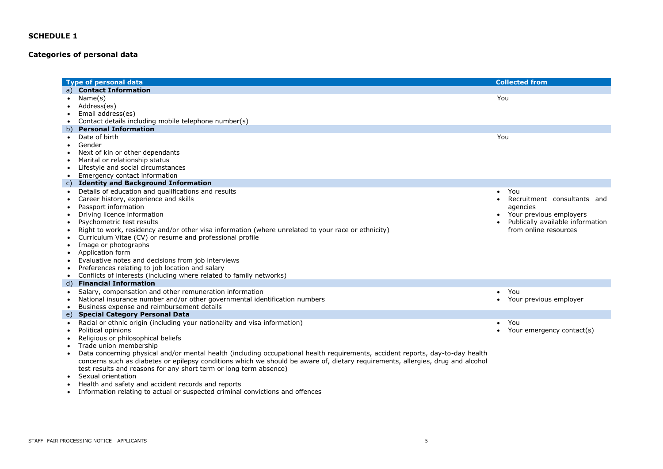# **Categories of personal data**

| <b>Type of personal data</b>                                                     |                                                                                                                                 | <b>Collected from</b>                    |
|----------------------------------------------------------------------------------|---------------------------------------------------------------------------------------------------------------------------------|------------------------------------------|
| <b>Contact Information</b><br>a)                                                 |                                                                                                                                 |                                          |
| Name(s)<br>$\bullet$                                                             |                                                                                                                                 | You                                      |
| Address(es)<br>$\bullet$                                                         |                                                                                                                                 |                                          |
| Email address(es)                                                                |                                                                                                                                 |                                          |
| Contact details including mobile telephone number(s)<br>$\bullet$                |                                                                                                                                 |                                          |
| <b>Personal Information</b>                                                      |                                                                                                                                 |                                          |
| Date of birth<br>$\bullet$                                                       |                                                                                                                                 | You                                      |
| Gender<br>$\bullet$                                                              |                                                                                                                                 |                                          |
| Next of kin or other dependants                                                  |                                                                                                                                 |                                          |
| Marital or relationship status                                                   |                                                                                                                                 |                                          |
| Lifestyle and social circumstances<br>$\bullet$                                  |                                                                                                                                 |                                          |
| Emergency contact information<br>$\bullet$                                       |                                                                                                                                 |                                          |
| <b>Identity and Background Information</b><br>C)                                 |                                                                                                                                 |                                          |
| Details of education and qualifications and results<br>$\bullet$                 |                                                                                                                                 | You<br>$\bullet$                         |
| Career history, experience and skills<br>$\bullet$                               |                                                                                                                                 | Recruitment consultants and<br>$\bullet$ |
| Passport information                                                             |                                                                                                                                 | agencies                                 |
| Driving licence information<br>$\bullet$                                         |                                                                                                                                 | Your previous employers                  |
| Psychometric test results<br>$\bullet$                                           |                                                                                                                                 | Publically available information         |
| $\bullet$                                                                        | Right to work, residency and/or other visa information (where unrelated to your race or ethnicity)                              | from online resources                    |
| Curriculum Vitae (CV) or resume and professional profile                         |                                                                                                                                 |                                          |
| Image or photographs<br>$\bullet$                                                |                                                                                                                                 |                                          |
| Application form<br>$\bullet$                                                    |                                                                                                                                 |                                          |
| Evaluative notes and decisions from job interviews<br>$\bullet$                  |                                                                                                                                 |                                          |
| Preferences relating to job location and salary<br>$\bullet$                     |                                                                                                                                 |                                          |
| Conflicts of interests (including where related to family networks)<br>$\bullet$ |                                                                                                                                 |                                          |
| <b>Financial Information</b><br>d)                                               |                                                                                                                                 |                                          |
| Salary, compensation and other remuneration information<br>$\bullet$             |                                                                                                                                 | You<br>$\bullet$                         |
|                                                                                  | National insurance number and/or other governmental identification numbers                                                      | Your previous employer<br>$\bullet$      |
| Business expense and reimbursement details<br>$\bullet$                          |                                                                                                                                 |                                          |
| <b>Special Category Personal Data</b>                                            |                                                                                                                                 |                                          |
| $\bullet$                                                                        | Racial or ethnic origin (including your nationality and visa information)                                                       | You<br>$\bullet$                         |
| Political opinions                                                               |                                                                                                                                 | Your emergency contact(s)                |
| Religious or philosophical beliefs<br>$\bullet$                                  |                                                                                                                                 |                                          |
| Trade union membership<br>$\bullet$                                              |                                                                                                                                 |                                          |
| $\bullet$                                                                        | Data concerning physical and/or mental health (including occupational health requirements, accident reports, day-to-day health  |                                          |
|                                                                                  | concerns such as diabetes or epilepsy conditions which we should be aware of, dietary requirements, allergies, drug and alcohol |                                          |
|                                                                                  | test results and reasons for any short term or long term absence)                                                               |                                          |
| Sexual orientation                                                               |                                                                                                                                 |                                          |
| Health and safety and accident records and reports                               |                                                                                                                                 |                                          |

• Information relating to actual or suspected criminal convictions and offences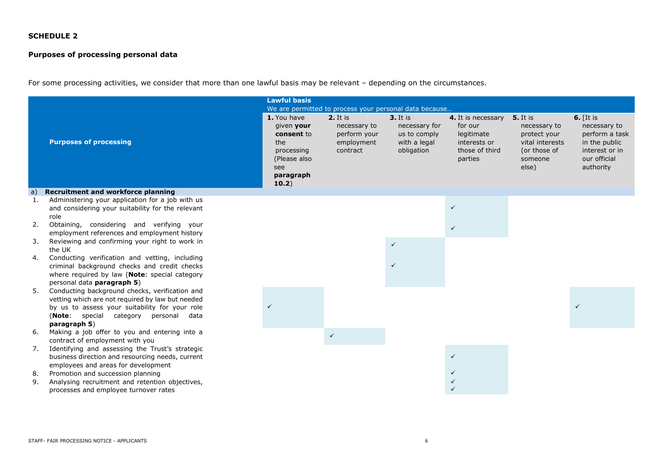# **Purposes of processing personal data**

For some processing activities, we consider that more than one lawful basis may be relevant – depending on the circumstances.

|                            |                                                                                                                                                                                                                                                              | <b>Lawful basis</b>                                                                                       |                                                                    |                                                                           |                                                                                          |                                                                                                        |                                                                                                               |
|----------------------------|--------------------------------------------------------------------------------------------------------------------------------------------------------------------------------------------------------------------------------------------------------------|-----------------------------------------------------------------------------------------------------------|--------------------------------------------------------------------|---------------------------------------------------------------------------|------------------------------------------------------------------------------------------|--------------------------------------------------------------------------------------------------------|---------------------------------------------------------------------------------------------------------------|
|                            |                                                                                                                                                                                                                                                              | We are permitted to process your personal data because                                                    |                                                                    |                                                                           |                                                                                          |                                                                                                        |                                                                                                               |
|                            | <b>Purposes of processing</b>                                                                                                                                                                                                                                | 1. You have<br>given your<br>consent to<br>the<br>processing<br>(Please also<br>see<br>paragraph<br>10.2) | 2. It is<br>necessary to<br>perform your<br>employment<br>contract | $3.$ It is<br>necessary for<br>us to comply<br>with a legal<br>obligation | 4. It is necessary<br>for our<br>legitimate<br>interests or<br>those of third<br>parties | <b>5.</b> It is<br>necessary to<br>protect your<br>vital interests<br>(or those of<br>someone<br>else) | $6.$ [It is<br>necessary to<br>perform a task<br>in the public<br>interest or in<br>our official<br>authority |
| a)                         | <b>Recruitment and workforce planning</b>                                                                                                                                                                                                                    |                                                                                                           |                                                                    |                                                                           |                                                                                          |                                                                                                        |                                                                                                               |
| $\mathbf{1}$ .<br>2.<br>3. | Administering your application for a job with us<br>and considering your suitability for the relevant<br>role<br>Obtaining, considering and verifying your<br>employment references and employment history<br>Reviewing and confirming your right to work in |                                                                                                           |                                                                    |                                                                           | $\checkmark$<br>$\checkmark$                                                             |                                                                                                        |                                                                                                               |
|                            | the UK                                                                                                                                                                                                                                                       |                                                                                                           |                                                                    | $\checkmark$                                                              |                                                                                          |                                                                                                        |                                                                                                               |
| 4.                         | Conducting verification and vetting, including<br>criminal background checks and credit checks<br>where required by law (Note: special category<br>personal data paragraph 5)                                                                                |                                                                                                           |                                                                    |                                                                           |                                                                                          |                                                                                                        |                                                                                                               |
| 5.                         | Conducting background checks, verification and<br>vetting which are not required by law but needed<br>by us to assess your suitability for your role<br>(Note: special category personal data<br>paragraph 5)                                                |                                                                                                           |                                                                    |                                                                           |                                                                                          |                                                                                                        |                                                                                                               |
| 6.                         | Making a job offer to you and entering into a<br>contract of employment with you                                                                                                                                                                             |                                                                                                           | $\checkmark$                                                       |                                                                           |                                                                                          |                                                                                                        |                                                                                                               |
| 7.<br>8.                   | Identifying and assessing the Trust's strategic<br>business direction and resourcing needs, current<br>employees and areas for development<br>Promotion and succession planning                                                                              |                                                                                                           |                                                                    |                                                                           | $\checkmark$<br>$\checkmark$                                                             |                                                                                                        |                                                                                                               |
| 9.                         | Analysing recruitment and retention objectives,<br>processes and employee turnover rates                                                                                                                                                                     |                                                                                                           |                                                                    |                                                                           | $\checkmark$                                                                             |                                                                                                        |                                                                                                               |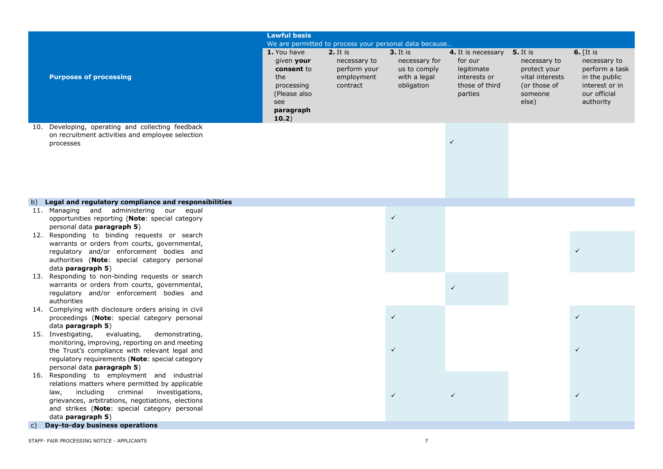|    | <b>Lawful basis</b><br>We are permitted to process your personal data because                                                                                                                                                                                             |                                                                                                           |                                                                    |                                                                                |                                                                                                   |                                                                                     |                                                                                                               |
|----|---------------------------------------------------------------------------------------------------------------------------------------------------------------------------------------------------------------------------------------------------------------------------|-----------------------------------------------------------------------------------------------------------|--------------------------------------------------------------------|--------------------------------------------------------------------------------|---------------------------------------------------------------------------------------------------|-------------------------------------------------------------------------------------|---------------------------------------------------------------------------------------------------------------|
|    | <b>Purposes of processing</b>                                                                                                                                                                                                                                             | 1. You have<br>given your<br>consent to<br>the<br>processing<br>(Please also<br>see<br>paragraph<br>10.2) | 2. It is<br>necessary to<br>perform your<br>employment<br>contract | <b>3.</b> It is<br>necessary for<br>us to comply<br>with a legal<br>obligation | 4. It is necessary 5. It is<br>for our<br>legitimate<br>interests or<br>those of third<br>parties | necessary to<br>protect your<br>vital interests<br>(or those of<br>someone<br>else) | $6.$ [It is<br>necessary to<br>perform a task<br>in the public<br>interest or in<br>our official<br>authority |
|    | 10. Developing, operating and collecting feedback<br>on recruitment activities and employee selection<br>processes                                                                                                                                                        |                                                                                                           |                                                                    |                                                                                | $\checkmark$                                                                                      |                                                                                     |                                                                                                               |
| b) | Legal and regulatory compliance and responsibilities<br>11. Managing and administering our equal                                                                                                                                                                          |                                                                                                           |                                                                    |                                                                                |                                                                                                   |                                                                                     |                                                                                                               |
|    | opportunities reporting (Note: special category<br>personal data paragraph 5)                                                                                                                                                                                             |                                                                                                           |                                                                    | $\checkmark$                                                                   |                                                                                                   |                                                                                     |                                                                                                               |
|    | 12. Responding to binding requests or search<br>warrants or orders from courts, governmental,<br>regulatory and/or enforcement bodies and<br>authorities (Note: special category personal<br>data <b>paragraph 5</b> )                                                    |                                                                                                           |                                                                    | $\checkmark$                                                                   |                                                                                                   |                                                                                     | $\checkmark$                                                                                                  |
|    | 13. Responding to non-binding requests or search<br>warrants or orders from courts, governmental,<br>regulatory and/or enforcement bodies and<br>authorities                                                                                                              |                                                                                                           |                                                                    |                                                                                | $\checkmark$                                                                                      |                                                                                     |                                                                                                               |
|    | 14. Complying with disclosure orders arising in civil<br>proceedings (Note: special category personal<br>data paragraph 5)                                                                                                                                                |                                                                                                           |                                                                    | $\checkmark$                                                                   |                                                                                                   |                                                                                     | $\checkmark$                                                                                                  |
|    | 15. Investigating,<br>evaluating,<br>demonstrating,<br>monitoring, improving, reporting on and meeting<br>the Trust's compliance with relevant legal and<br>regulatory requirements (Note: special category<br>personal data paragraph 5)                                 |                                                                                                           |                                                                    | $\checkmark$                                                                   |                                                                                                   |                                                                                     | $\checkmark$                                                                                                  |
|    | 16. Responding to employment and industrial<br>relations matters where permitted by applicable<br>including criminal<br>law.<br>investigations,<br>grievances, arbitrations, negotiations, elections<br>and strikes (Note: special category personal<br>data paragraph 5) |                                                                                                           |                                                                    | $\checkmark$                                                                   | $\checkmark$                                                                                      |                                                                                     | $\checkmark$                                                                                                  |
| C) | Day-to-day business operations                                                                                                                                                                                                                                            |                                                                                                           |                                                                    |                                                                                |                                                                                                   |                                                                                     |                                                                                                               |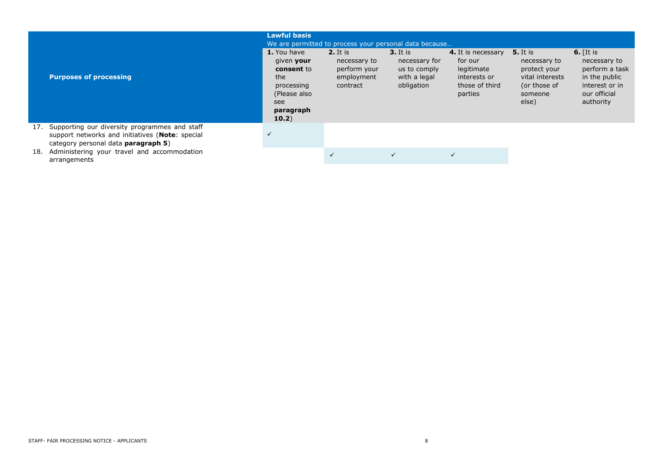|     | <b>Purposes of processing</b>                                                                                                           | <b>Lawful basis</b><br>1. You have<br>given your<br>consent to<br>the<br>processing<br>(Please also<br>see<br>paragraph<br>10.2) | We are permitted to process your personal data because<br>$2.$ It is<br>necessary to<br>perform your<br>employment<br>contract | <b>3.</b> It is<br>necessary for<br>us to comply<br>with a legal<br>obligation | 4. It is necessary<br>for our<br>legitimate<br>interests or<br>those of third<br>parties | <b>5.</b> It is<br>necessary to<br>protect your<br>vital interests<br>(or those of<br>someone<br>else) | 6. $[It is$<br>necessary to<br>perform a task<br>in the public<br>interest or in<br>our official<br>authority |
|-----|-----------------------------------------------------------------------------------------------------------------------------------------|----------------------------------------------------------------------------------------------------------------------------------|--------------------------------------------------------------------------------------------------------------------------------|--------------------------------------------------------------------------------|------------------------------------------------------------------------------------------|--------------------------------------------------------------------------------------------------------|---------------------------------------------------------------------------------------------------------------|
| 17. | Supporting our diversity programmes and staff<br>support networks and initiatives (Note: special<br>category personal data paragraph 5) | $\checkmark$                                                                                                                     |                                                                                                                                |                                                                                |                                                                                          |                                                                                                        |                                                                                                               |
| 18. | Administering your travel and accommodation<br>arrangements                                                                             |                                                                                                                                  | $\checkmark$                                                                                                                   |                                                                                | $\checkmark$                                                                             |                                                                                                        |                                                                                                               |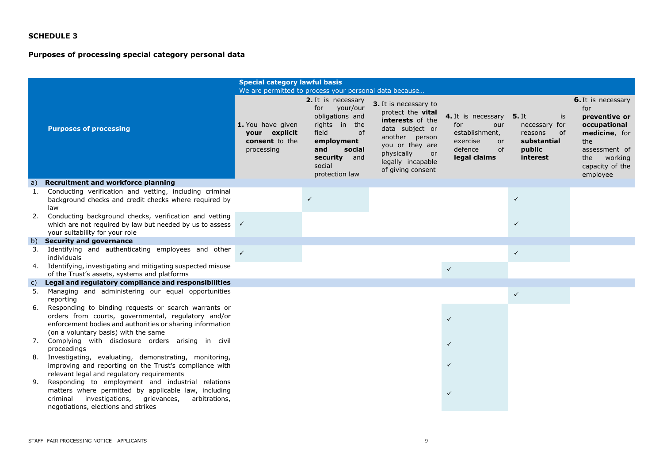# **Purposes of processing special category personal data**

|    |                                                                                                                                                                                                                  | <b>Special category lawful basis</b>                               |                                                                                                                                                                                                                                  |                                                                                                                                                                                      |                                                                                                                  |                                                                                           |                                                                                                                                                             |
|----|------------------------------------------------------------------------------------------------------------------------------------------------------------------------------------------------------------------|--------------------------------------------------------------------|----------------------------------------------------------------------------------------------------------------------------------------------------------------------------------------------------------------------------------|--------------------------------------------------------------------------------------------------------------------------------------------------------------------------------------|------------------------------------------------------------------------------------------------------------------|-------------------------------------------------------------------------------------------|-------------------------------------------------------------------------------------------------------------------------------------------------------------|
|    | <b>Purposes of processing</b>                                                                                                                                                                                    | 1. You have given<br>your explicit<br>consent to the<br>processing | We are permitted to process your personal data because<br>2. It is necessary<br>your/our<br>for<br>obligations and<br>rights in<br>the<br>field<br>of<br>employment<br>and<br>social<br>security and<br>social<br>protection law | 3. It is necessary to<br>protect the vital<br>interests of the<br>data subject or<br>another person<br>you or they are<br>physically<br>or<br>legally incapable<br>of giving consent | 4. It is necessary<br>for<br>our<br>establishment,<br>exercise<br><sub>or</sub><br>defence<br>of<br>legal claims | <b>5.</b> It<br>is<br>necessary for<br>of<br>reasons<br>substantial<br>public<br>interest | <b>6.</b> It is necessary<br>for<br>preventive or<br>occupational<br>medicine, for<br>the<br>assessment of<br>working<br>the<br>capacity of the<br>employee |
| a) | <b>Recruitment and workforce planning</b>                                                                                                                                                                        |                                                                    |                                                                                                                                                                                                                                  |                                                                                                                                                                                      |                                                                                                                  |                                                                                           |                                                                                                                                                             |
| 1. | Conducting verification and vetting, including criminal<br>background checks and credit checks where required by<br>law                                                                                          |                                                                    | $\checkmark$                                                                                                                                                                                                                     |                                                                                                                                                                                      |                                                                                                                  | $\checkmark$                                                                              |                                                                                                                                                             |
| 2. | Conducting background checks, verification and vetting<br>which are not required by law but needed by us to assess $\checkmark$<br>your suitability for your role                                                |                                                                    |                                                                                                                                                                                                                                  |                                                                                                                                                                                      |                                                                                                                  | $\checkmark$                                                                              |                                                                                                                                                             |
|    | b) Security and governance                                                                                                                                                                                       |                                                                    |                                                                                                                                                                                                                                  |                                                                                                                                                                                      |                                                                                                                  |                                                                                           |                                                                                                                                                             |
| 3. | Identifying and authenticating employees and other<br>individuals                                                                                                                                                |                                                                    |                                                                                                                                                                                                                                  |                                                                                                                                                                                      |                                                                                                                  | $\checkmark$                                                                              |                                                                                                                                                             |
|    | 4. Identifying, investigating and mitigating suspected misuse<br>of the Trust's assets, systems and platforms                                                                                                    |                                                                    |                                                                                                                                                                                                                                  |                                                                                                                                                                                      | $\checkmark$                                                                                                     |                                                                                           |                                                                                                                                                             |
| C) | Legal and regulatory compliance and responsibilities                                                                                                                                                             |                                                                    |                                                                                                                                                                                                                                  |                                                                                                                                                                                      |                                                                                                                  |                                                                                           |                                                                                                                                                             |
| 5. | Managing and administering our equal opportunities<br>reporting                                                                                                                                                  |                                                                    |                                                                                                                                                                                                                                  |                                                                                                                                                                                      |                                                                                                                  | $\checkmark$                                                                              |                                                                                                                                                             |
| 6. | Responding to binding requests or search warrants or<br>orders from courts, governmental, regulatory and/or<br>enforcement bodies and authorities or sharing information<br>(on a voluntary basis) with the same |                                                                    |                                                                                                                                                                                                                                  |                                                                                                                                                                                      | $\checkmark$                                                                                                     |                                                                                           |                                                                                                                                                             |
|    | 7. Complying with disclosure orders arising in civil<br>proceedings                                                                                                                                              |                                                                    |                                                                                                                                                                                                                                  |                                                                                                                                                                                      | ✓                                                                                                                |                                                                                           |                                                                                                                                                             |
| 8. | Investigating, evaluating, demonstrating, monitoring,<br>improving and reporting on the Trust's compliance with<br>relevant legal and regulatory requirements                                                    |                                                                    |                                                                                                                                                                                                                                  |                                                                                                                                                                                      | ✓                                                                                                                |                                                                                           |                                                                                                                                                             |
| 9. | Responding to employment and industrial relations<br>matters where permitted by applicable law, including<br>criminal<br>investigations,<br>grievances,<br>arbitrations,<br>negotiations, elections and strikes  |                                                                    |                                                                                                                                                                                                                                  |                                                                                                                                                                                      | $\checkmark$                                                                                                     |                                                                                           |                                                                                                                                                             |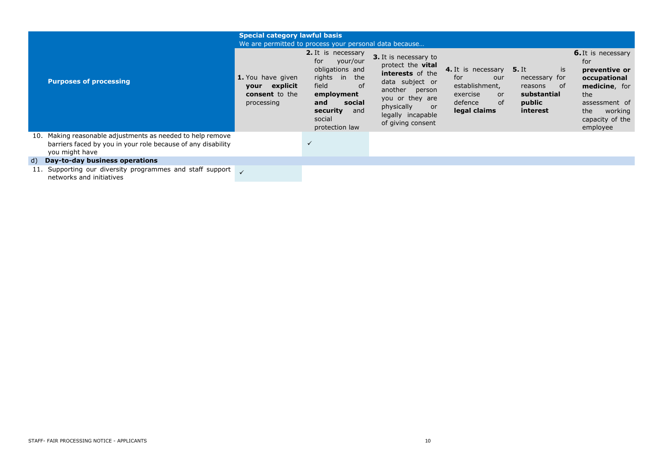|                                                                                                                                              | <b>Special category lawful basis</b><br>We are permitted to process your personal data because |                                                                                                                                                                                  |                                                                                                                                                                                             |                                                                                                              |                                                                                           |                                                                                                                                                             |
|----------------------------------------------------------------------------------------------------------------------------------------------|------------------------------------------------------------------------------------------------|----------------------------------------------------------------------------------------------------------------------------------------------------------------------------------|---------------------------------------------------------------------------------------------------------------------------------------------------------------------------------------------|--------------------------------------------------------------------------------------------------------------|-------------------------------------------------------------------------------------------|-------------------------------------------------------------------------------------------------------------------------------------------------------------|
| <b>Purposes of processing</b>                                                                                                                | 1. You have given<br>explicit<br>your<br><b>consent</b> to the<br>processing                   | <b>2.</b> It is necessary<br>for<br>your/our<br>obligations and<br>rights in<br>the<br>field<br>of<br>employment<br>social<br>and<br>security<br>and<br>social<br>protection law | 3. It is necessary to<br>protect the <b>vital</b><br>interests of the<br>data subject or<br>another person<br>you or they are<br>physically<br>or<br>legally incapable<br>of giving consent | 4. It is necessary<br>for<br>our<br>establishment,<br>exercise<br><b>or</b><br>defence<br>0f<br>legal claims | <b>5.</b> It<br>is<br>necessary for<br>reasons<br>of<br>substantial<br>public<br>interest | <b>6.</b> It is necessary<br>for<br>preventive or<br>occupational<br>medicine, for<br>the<br>assessment of<br>the<br>working<br>capacity of the<br>employee |
| 10. Making reasonable adjustments as needed to help remove<br>barriers faced by you in your role because of any disability<br>you might have |                                                                                                | $\checkmark$                                                                                                                                                                     |                                                                                                                                                                                             |                                                                                                              |                                                                                           |                                                                                                                                                             |
| d) Day-to-day business operations                                                                                                            |                                                                                                |                                                                                                                                                                                  |                                                                                                                                                                                             |                                                                                                              |                                                                                           |                                                                                                                                                             |
| 11. Supporting our diversity programmes and staff support<br>networks and initiatives                                                        |                                                                                                |                                                                                                                                                                                  |                                                                                                                                                                                             |                                                                                                              |                                                                                           |                                                                                                                                                             |